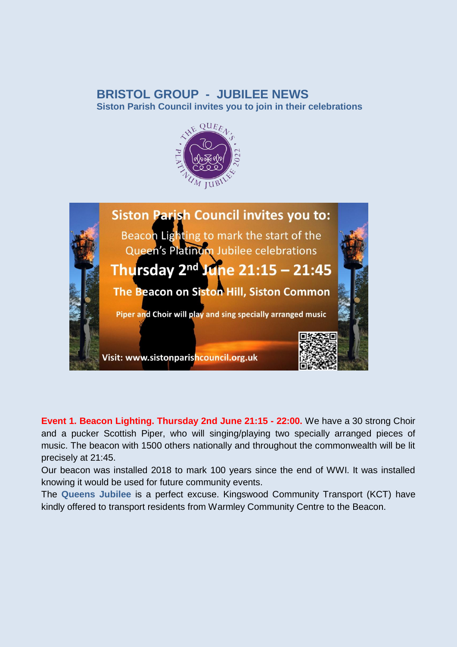## **BRISTOL GROUP - JUBILEE NEWS**

**Siston Parish Council invites you to join in their celebrations** 





**Event 1. Beacon Lighting. Thursday 2nd June 21:15 - 22:00.** We have a 30 strong Choir and a pucker Scottish Piper, who will singing/playing two specially arranged pieces of music. The beacon with 1500 others nationally and throughout the commonwealth will be lit precisely at 21:45.

Our beacon was installed 2018 to mark 100 years since the end of WWI. It was installed knowing it would be used for future community events.

The **Queens Jubilee** is a perfect excuse. Kingswood Community Transport (KCT) have kindly offered to transport residents from Warmley Community Centre to the Beacon.